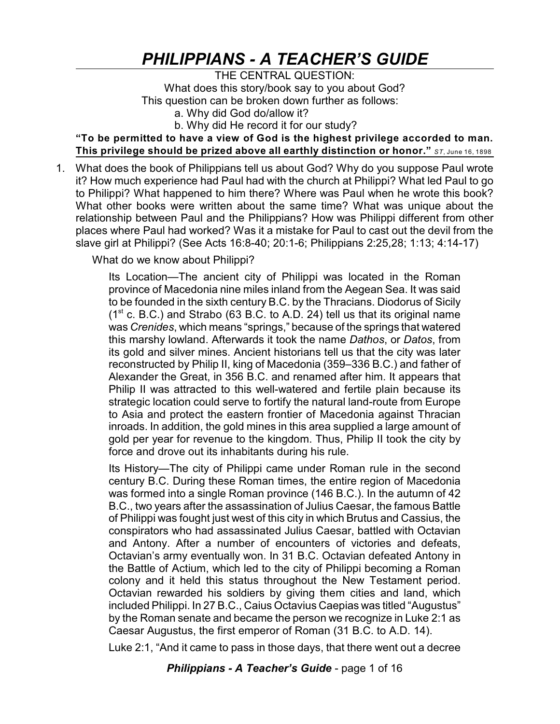## *PHILIPPIANS - A TEACHER'S GUIDE*

THE CENTRAL QUESTION: What does this story/book say to you about God? This question can be broken down further as follows: a. Why did God do/allow it? b. Why did He record it for our study?

**"To be permitted to have a view of God is the highest privilege accorded to man. This privilege should be prized above all earthly distinction or honor."** *ST*, June 16, <sup>1898</sup>

1. What does the book of Philippians tell us about God? Why do you suppose Paul wrote it? How much experience had Paul had with the church at Philippi? What led Paul to go to Philippi? What happened to him there? Where was Paul when he wrote this book? What other books were written about the same time? What was unique about the relationship between Paul and the Philippians? How was Philippi different from other places where Paul had worked? Was it a mistake for Paul to cast out the devil from the slave girl at Philippi? (See Acts 16:8-40; 20:1-6; Philippians 2:25,28; 1:13; 4:14-17)

What do we know about Philippi?

Its Location—The ancient city of Philippi was located in the Roman province of Macedonia nine miles inland from the Aegean Sea. It was said to be founded in the sixth century B.C. by the Thracians. Diodorus of Sicily  $(1<sup>st</sup>$  c. B.C.) and Strabo (63 B.C. to A.D. 24) tell us that its original name was *Crenides*, which means "springs," because of the springs that watered this marshy lowland. Afterwards it took the name *Dathos*, or *Datos*, from its gold and silver mines. Ancient historians tell us that the city was later reconstructed by Philip II, king of Macedonia (359–336 B.C.) and father of Alexander the Great, in 356 B.C. and renamed after him. It appears that Philip II was attracted to this well-watered and fertile plain because its strategic location could serve to fortify the natural land-route from Europe to Asia and protect the eastern frontier of Macedonia against Thracian inroads. In addition, the gold mines in this area supplied a large amount of gold per year for revenue to the kingdom. Thus, Philip II took the city by force and drove out its inhabitants during his rule.

Its History—The city of Philippi came under Roman rule in the second century B.C. During these Roman times, the entire region of Macedonia was formed into a single Roman province (146 B.C.). In the autumn of 42 B.C., two years after the assassination of Julius Caesar, the famous Battle of Philippi was fought just west of this city in which Brutus and Cassius, the conspirators who had assassinated Julius Caesar, battled with Octavian and Antony. After a number of encounters of victories and defeats, Octavian's army eventually won. In 31 B.C. Octavian defeated Antony in the Battle of Actium, which led to the city of Philippi becoming a Roman colony and it held this status throughout the New Testament period. Octavian rewarded his soldiers by giving them cities and land, which included Philippi. In 27 B.C., Caius Octavius Caepias was titled "Augustus" by the Roman senate and became the person we recognize in Luke 2:1 as Caesar Augustus, the first emperor of Roman (31 B.C. to A.D. 14).

Luke 2:1, "And it came to pass in those days, that there went out a decree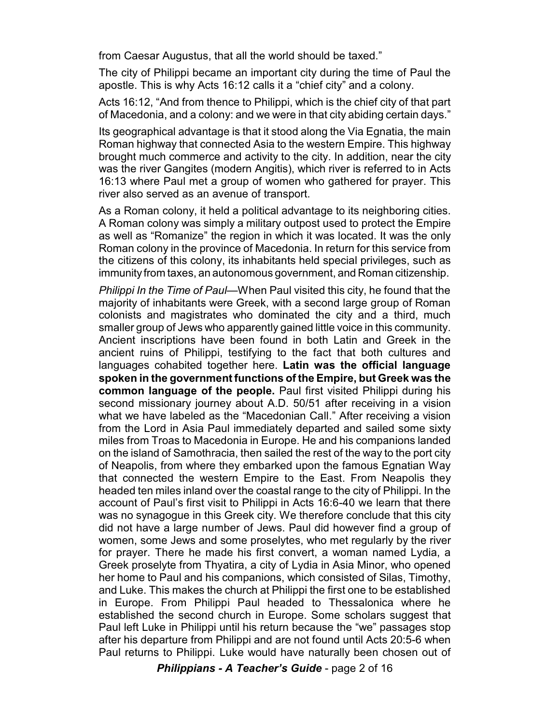from Caesar Augustus, that all the world should be taxed."

The city of Philippi became an important city during the time of Paul the apostle. This is why Acts 16:12 calls it a "chief city" and a colony.

Acts 16:12, "And from thence to Philippi, which is the chief city of that part of Macedonia, and a colony: and we were in that city abiding certain days."

Its geographical advantage is that it stood along the Via Egnatia, the main Roman highway that connected Asia to the western Empire. This highway brought much commerce and activity to the city. In addition, near the city was the river Gangites (modern Angitis), which river is referred to in Acts 16:13 where Paul met a group of women who gathered for prayer. This river also served as an avenue of transport.

As a Roman colony, it held a political advantage to its neighboring cities. A Roman colony was simply a military outpost used to protect the Empire as well as "Romanize" the region in which it was located. It was the only Roman colony in the province of Macedonia. In return for this service from the citizens of this colony, its inhabitants held special privileges, such as immunity from taxes, an autonomous government, and Roman citizenship.

*Philippi In the Time of Paul*—When Paul visited this city, he found that the majority of inhabitants were Greek, with a second large group of Roman colonists and magistrates who dominated the city and a third, much smaller group of Jews who apparently gained little voice in this community. Ancient inscriptions have been found in both Latin and Greek in the ancient ruins of Philippi, testifying to the fact that both cultures and languages cohabited together here. **Latin was the official language spoken in the government functions of the Empire, but Greek was the common language of the people.** Paul first visited Philippi during his second missionary journey about A.D. 50/51 after receiving in a vision what we have labeled as the "Macedonian Call." After receiving a vision from the Lord in Asia Paul immediately departed and sailed some sixty miles from Troas to Macedonia in Europe. He and his companions landed on the island of Samothracia, then sailed the rest of the way to the port city of Neapolis, from where they embarked upon the famous Egnatian Way that connected the western Empire to the East. From Neapolis they headed ten miles inland over the coastal range to the city of Philippi. In the account of Paul's first visit to Philippi in Acts 16:6-40 we learn that there was no synagogue in this Greek city. We therefore conclude that this city did not have a large number of Jews. Paul did however find a group of women, some Jews and some proselytes, who met regularly by the river for prayer. There he made his first convert, a woman named Lydia, a Greek proselyte from Thyatira, a city of Lydia in Asia Minor, who opened her home to Paul and his companions, which consisted of Silas, Timothy, and Luke. This makes the church at Philippi the first one to be established in Europe. From Philippi Paul headed to Thessalonica where he established the second church in Europe. Some scholars suggest that Paul left Luke in Philippi until his return because the "we" passages stop after his departure from Philippi and are not found until Acts 20:5-6 when Paul returns to Philippi. Luke would have naturally been chosen out of

*Philippians - A Teacher's Guide* - page 2 of 16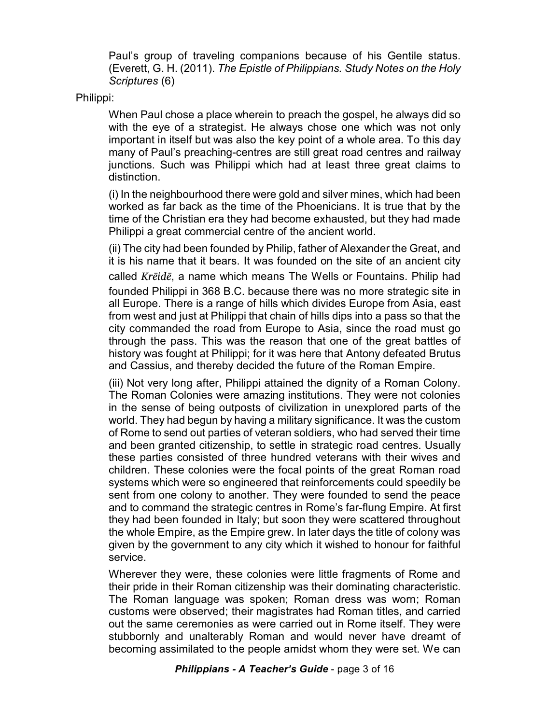Paul's group of traveling companions because of his Gentile status. (Everett, G. H. (2011). *The Epistle of Philippians. Study Notes on the Holy Scriptures* (6)

Philippi:

When Paul chose a place wherein to preach the gospel, he always did so with the eye of a strategist. He always chose one which was not only important in itself but was also the key point of a whole area. To this day many of Paul's preaching-centres are still great road centres and railway junctions. Such was Philippi which had at least three great claims to distinction.

(i) In the neighbourhood there were gold and silver mines, which had been worked as far back as the time of the Phoenicians. It is true that by the time of the Christian era they had become exhausted, but they had made Philippi a great commercial centre of the ancient world.

(ii) The city had been founded by Philip, father of Alexander the Great, and it is his name that it bears. It was founded on the site of an ancient city called *Krçidç*, a name which means The Wells or Fountains. Philip had founded Philippi in 368 B.C. because there was no more strategic site in all Europe. There is a range of hills which divides Europe from Asia, east from west and just at Philippi that chain of hills dips into a pass so that the city commanded the road from Europe to Asia, since the road must go through the pass. This was the reason that one of the great battles of history was fought at Philippi; for it was here that Antony defeated Brutus and Cassius, and thereby decided the future of the Roman Empire.

(iii) Not very long after, Philippi attained the dignity of a Roman Colony. The Roman Colonies were amazing institutions. They were not colonies in the sense of being outposts of civilization in unexplored parts of the world. They had begun by having a military significance. It was the custom of Rome to send out parties of veteran soldiers, who had served their time and been granted citizenship, to settle in strategic road centres. Usually these parties consisted of three hundred veterans with their wives and children. These colonies were the focal points of the great Roman road systems which were so engineered that reinforcements could speedily be sent from one colony to another. They were founded to send the peace and to command the strategic centres in Rome's far-flung Empire. At first they had been founded in Italy; but soon they were scattered throughout the whole Empire, as the Empire grew. In later days the title of colony was given by the government to any city which it wished to honour for faithful service.

Wherever they were, these colonies were little fragments of Rome and their pride in their Roman citizenship was their dominating characteristic. The Roman language was spoken; Roman dress was worn; Roman customs were observed; their magistrates had Roman titles, and carried out the same ceremonies as were carried out in Rome itself. They were stubbornly and unalterably Roman and would never have dreamt of becoming assimilated to the people amidst whom they were set. We can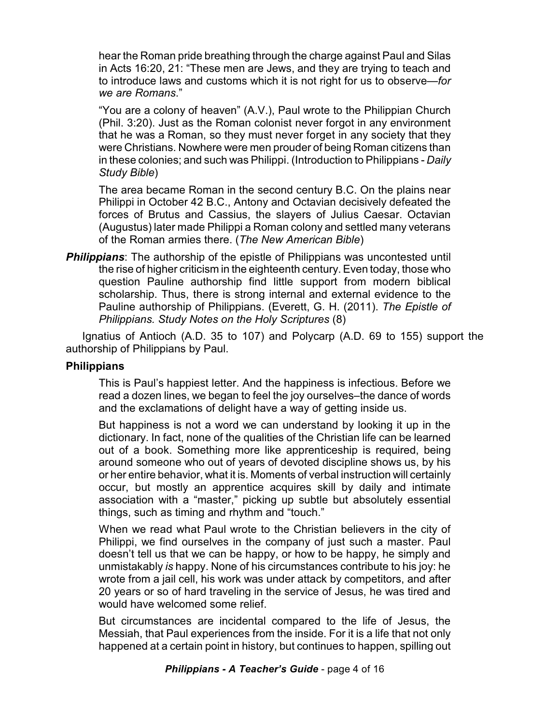hear the Roman pride breathing through the charge against Paul and Silas in Acts 16:20, 21: "These men are Jews, and they are trying to teach and to introduce laws and customs which it is not right for us to observe—*for we are Romans*."

"You are a colony of heaven" (A.V.), Paul wrote to the Philippian Church (Phil. 3:20). Just as the Roman colonist never forgot in any environment that he was a Roman, so they must never forget in any society that they were Christians. Nowhere were men prouder of being Roman citizens than in these colonies; and such was Philippi. (Introduction to Philippians - *Daily Study Bible*)

The area became Roman in the second century B.C. On the plains near Philippi in October 42 B.C., Antony and Octavian decisively defeated the forces of Brutus and Cassius, the slayers of Julius Caesar. Octavian (Augustus) later made Philippi a Roman colony and settled many veterans of the Roman armies there. (*The New American Bible*)

**Philippians**: The authorship of the epistle of Philippians was uncontested until the rise of higher criticism in the eighteenth century. Even today, those who question Pauline authorship find little support from modern biblical scholarship. Thus, there is strong internal and external evidence to the Pauline authorship of Philippians. (Everett, G. H. (2011). *The Epistle of Philippians. Study Notes on the Holy Scriptures* (8)

Ignatius of Antioch (A.D. 35 to 107) and Polycarp (A.D. 69 to 155) support the authorship of Philippians by Paul.

## **Philippians**

This is Paul's happiest letter. And the happiness is infectious. Before we read a dozen lines, we began to feel the joy ourselves–the dance of words and the exclamations of delight have a way of getting inside us.

But happiness is not a word we can understand by looking it up in the dictionary. In fact, none of the qualities of the Christian life can be learned out of a book. Something more like apprenticeship is required, being around someone who out of years of devoted discipline shows us, by his or her entire behavior, what it is. Moments of verbal instruction will certainly occur, but mostly an apprentice acquires skill by daily and intimate association with a "master," picking up subtle but absolutely essential things, such as timing and rhythm and "touch."

When we read what Paul wrote to the Christian believers in the city of Philippi, we find ourselves in the company of just such a master. Paul doesn't tell us that we can be happy, or how to be happy, he simply and unmistakably *is* happy. None of his circumstances contribute to his joy: he wrote from a jail cell, his work was under attack by competitors, and after 20 years or so of hard traveling in the service of Jesus, he was tired and would have welcomed some relief.

But circumstances are incidental compared to the life of Jesus, the Messiah, that Paul experiences from the inside. For it is a life that not only happened at a certain point in history, but continues to happen, spilling out

*Philippians - A Teacher's Guide* - page 4 of 16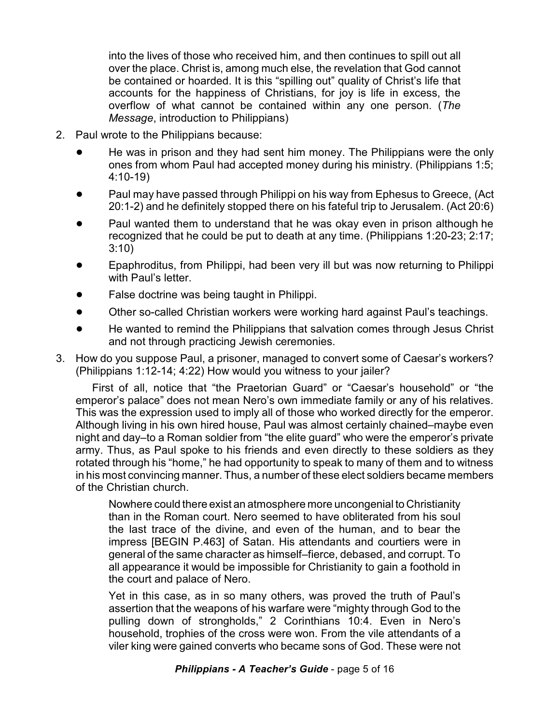into the lives of those who received him, and then continues to spill out all over the place. Christ is, among much else, the revelation that God cannot be contained or hoarded. It is this "spilling out" quality of Christ's life that accounts for the happiness of Christians, for joy is life in excess, the overflow of what cannot be contained within any one person. (*The Message*, introduction to Philippians)

- 2. Paul wrote to the Philippians because:
	- ! He was in prison and they had sent him money. The Philippians were the only ones from whom Paul had accepted money during his ministry. (Philippians 1:5; 4:10-19)
	- ! Paul may have passed through Philippi on his way from Ephesus to Greece, (Act 20:1-2) and he definitely stopped there on his fateful trip to Jerusalem. (Act 20:6)
	- ! Paul wanted them to understand that he was okay even in prison although he recognized that he could be put to death at any time. (Philippians 1:20-23; 2:17; 3:10)
	- Epaphroditus, from Philippi, had been very ill but was now returning to Philippi with Paul's letter.
	- False doctrine was being taught in Philippi.
	- Other so-called Christian workers were working hard against Paul's teachings.
	- ! He wanted to remind the Philippians that salvation comes through Jesus Christ and not through practicing Jewish ceremonies.
- 3. How do you suppose Paul, a prisoner, managed to convert some of Caesar's workers? (Philippians 1:12-14; 4:22) How would you witness to your jailer?

First of all, notice that "the Praetorian Guard" or "Caesar's household" or "the emperor's palace" does not mean Nero's own immediate family or any of his relatives. This was the expression used to imply all of those who worked directly for the emperor. Although living in his own hired house, Paul was almost certainly chained–maybe even night and day–to a Roman soldier from "the elite guard" who were the emperor's private army. Thus, as Paul spoke to his friends and even directly to these soldiers as they rotated through his "home," he had opportunity to speak to many of them and to witness in his most convincing manner. Thus, a number of these elect soldiers became members of the Christian church.

Nowhere could there exist an atmosphere more uncongenial to Christianity than in the Roman court. Nero seemed to have obliterated from his soul the last trace of the divine, and even of the human, and to bear the impress [BEGIN P.463] of Satan. His attendants and courtiers were in general of the same character as himself–fierce, debased, and corrupt. To all appearance it would be impossible for Christianity to gain a foothold in the court and palace of Nero.

Yet in this case, as in so many others, was proved the truth of Paul's assertion that the weapons of his warfare were "mighty through God to the pulling down of strongholds," 2 Corinthians 10:4. Even in Nero's household, trophies of the cross were won. From the vile attendants of a viler king were gained converts who became sons of God. These were not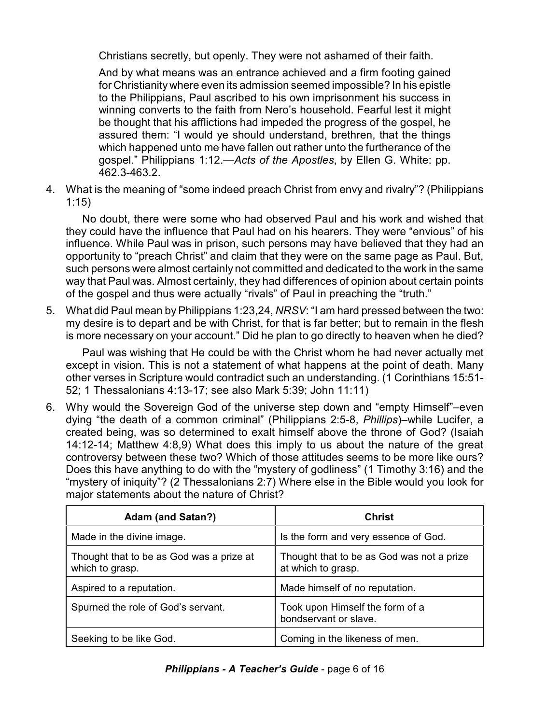Christians secretly, but openly. They were not ashamed of their faith.

And by what means was an entrance achieved and a firm footing gained for Christianity where even its admission seemed impossible? In his epistle to the Philippians, Paul ascribed to his own imprisonment his success in winning converts to the faith from Nero's household. Fearful lest it might be thought that his afflictions had impeded the progress of the gospel, he assured them: "I would ye should understand, brethren, that the things which happened unto me have fallen out rather unto the furtherance of the gospel." Philippians 1:12.—*Acts of the Apostles*, by Ellen G. White: pp. 462.3-463.2.

4. What is the meaning of "some indeed preach Christ from envy and rivalry"? (Philippians 1:15)

No doubt, there were some who had observed Paul and his work and wished that they could have the influence that Paul had on his hearers. They were "envious" of his influence. While Paul was in prison, such persons may have believed that they had an opportunity to "preach Christ" and claim that they were on the same page as Paul. But, such persons were almost certainly not committed and dedicated to the work in the same way that Paul was. Almost certainly, they had differences of opinion about certain points of the gospel and thus were actually "rivals" of Paul in preaching the "truth."

5. What did Paul mean by Philippians 1:23,24, *NRSV*: "I am hard pressed between the two: my desire is to depart and be with Christ, for that is far better; but to remain in the flesh is more necessary on your account." Did he plan to go directly to heaven when he died?

Paul was wishing that He could be with the Christ whom he had never actually met except in vision. This is not a statement of what happens at the point of death. Many other verses in Scripture would contradict such an understanding. (1 Corinthians 15:51- 52; 1 Thessalonians 4:13-17; see also Mark 5:39; John 11:11)

6. Why would the Sovereign God of the universe step down and "empty Himself"–even dying "the death of a common criminal" (Philippians 2:5-8, *Phillips*)–while Lucifer, a created being, was so determined to exalt himself above the throne of God? (Isaiah 14:12-14; Matthew 4:8,9) What does this imply to us about the nature of the great controversy between these two? Which of those attitudes seems to be more like ours? Does this have anything to do with the "mystery of godliness" (1 Timothy 3:16) and the "mystery of iniquity"? (2 Thessalonians 2:7) Where else in the Bible would you look for major statements about the nature of Christ?

| <b>Adam (and Satan?)</b>                                    | Christ                                                          |
|-------------------------------------------------------------|-----------------------------------------------------------------|
| Made in the divine image.                                   | Is the form and very essence of God.                            |
| Thought that to be as God was a prize at<br>which to grasp. | Thought that to be as God was not a prize<br>at which to grasp. |
| Aspired to a reputation.                                    | Made himself of no reputation.                                  |
| Spurned the role of God's servant.                          | Took upon Himself the form of a<br>bondservant or slave.        |
| Seeking to be like God.                                     | Coming in the likeness of men.                                  |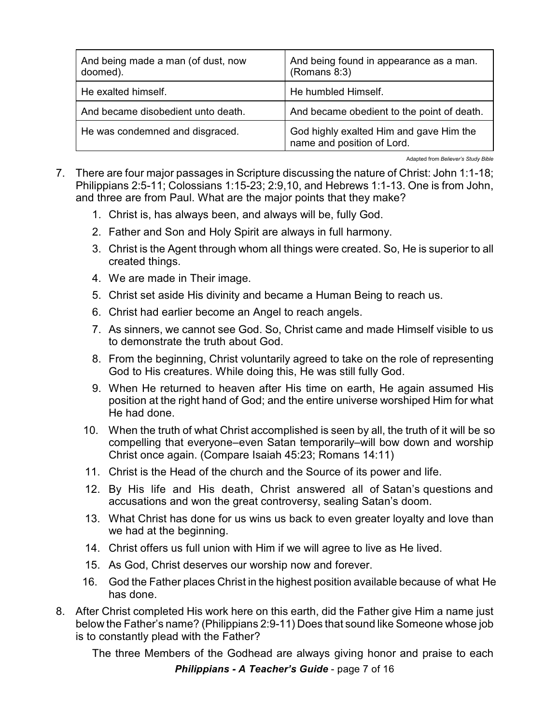| And being made a man (of dust, now<br>doomed). | And being found in appearance as a man.<br>(Romans 8:3)               |
|------------------------------------------------|-----------------------------------------------------------------------|
| He exalted himself.                            | He humbled Himself.                                                   |
| And became disobedient unto death.             | And became obedient to the point of death.                            |
| He was condemned and disgraced.                | God highly exalted Him and gave Him the<br>name and position of Lord. |

Adapted from *Believer's Study Bible*

- 7. There are four major passages in Scripture discussing the nature of Christ: John 1:1-18; Philippians 2:5-11; Colossians 1:15-23; 2:9,10, and Hebrews 1:1-13. One is from John, and three are from Paul. What are the major points that they make?
	- 1. Christ is, has always been, and always will be, fully God.
	- 2. Father and Son and Holy Spirit are always in full harmony.
	- 3. Christ is the Agent through whom all things were created. So, He is superior to all created things.
	- 4. We are made in Their image.
	- 5. Christ set aside His divinity and became a Human Being to reach us.
	- 6. Christ had earlier become an Angel to reach angels.
	- 7. As sinners, we cannot see God. So, Christ came and made Himself visible to us to demonstrate the truth about God.
	- 8. From the beginning, Christ voluntarily agreed to take on the role of representing God to His creatures. While doing this, He was still fully God.
	- 9. When He returned to heaven after His time on earth, He again assumed His position at the right hand of God; and the entire universe worshiped Him for what He had done.
	- 10. When the truth of what Christ accomplished is seen by all, the truth of it will be so compelling that everyone–even Satan temporarily–will bow down and worship Christ once again. (Compare Isaiah 45:23; Romans 14:11)
	- 11. Christ is the Head of the church and the Source of its power and life.
	- 12. By His life and His death, Christ answered all of Satan's questions and accusations and won the great controversy, sealing Satan's doom.
	- 13. What Christ has done for us wins us back to even greater loyalty and love than we had at the beginning.
	- 14. Christ offers us full union with Him if we will agree to live as He lived.
	- 15. As God, Christ deserves our worship now and forever.
	- 16. God the Father places Christ in the highest position available because of what He has done.
- 8. After Christ completed His work here on this earth, did the Father give Him a name just below the Father's name? (Philippians 2:9-11) Does that sound like Someone whose job is to constantly plead with the Father?

The three Members of the Godhead are always giving honor and praise to each

*Philippians - A Teacher's Guide* - page 7 of 16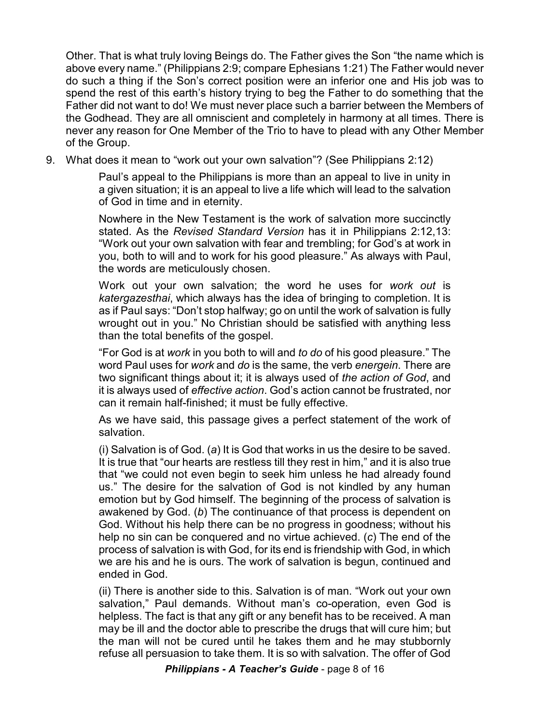Other. That is what truly loving Beings do. The Father gives the Son "the name which is above every name." (Philippians 2:9; compare Ephesians 1:21) The Father would never do such a thing if the Son's correct position were an inferior one and His job was to spend the rest of this earth's history trying to beg the Father to do something that the Father did not want to do! We must never place such a barrier between the Members of the Godhead. They are all omniscient and completely in harmony at all times. There is never any reason for One Member of the Trio to have to plead with any Other Member of the Group.

9. What does it mean to "work out your own salvation"? (See Philippians 2:12)

Paul's appeal to the Philippians is more than an appeal to live in unity in a given situation; it is an appeal to live a life which will lead to the salvation of God in time and in eternity.

Nowhere in the New Testament is the work of salvation more succinctly stated. As the *Revised Standard Version* has it in Philippians 2:12,13: "Work out your own salvation with fear and trembling; for God's at work in you, both to will and to work for his good pleasure." As always with Paul, the words are meticulously chosen.

Work out your own salvation; the word he uses for *work out* is *katergazesthai*, which always has the idea of bringing to completion. It is as if Paul says: "Don't stop halfway; go on until the work of salvation is fully wrought out in you." No Christian should be satisfied with anything less than the total benefits of the gospel.

"For God is at *work* in you both to will and *to do* of his good pleasure." The word Paul uses for *work* and *do* is the same, the verb *energein*. There are two significant things about it; it is always used of *the action of God*, and it is always used of *effective action*. God's action cannot be frustrated, nor can it remain half-finished; it must be fully effective.

As we have said, this passage gives a perfect statement of the work of salvation.

(i) Salvation is of God. (*a*) It is God that works in us the desire to be saved. It is true that "our hearts are restless till they rest in him," and it is also true that "we could not even begin to seek him unless he had already found us." The desire for the salvation of God is not kindled by any human emotion but by God himself. The beginning of the process of salvation is awakened by God. (*b*) The continuance of that process is dependent on God. Without his help there can be no progress in goodness; without his help no sin can be conquered and no virtue achieved. (*c*) The end of the process of salvation is with God, for its end is friendship with God, in which we are his and he is ours. The work of salvation is begun, continued and ended in God.

(ii) There is another side to this. Salvation is of man. "Work out your own salvation," Paul demands. Without man's co-operation, even God is helpless. The fact is that any gift or any benefit has to be received. A man may be ill and the doctor able to prescribe the drugs that will cure him; but the man will not be cured until he takes them and he may stubbornly refuse all persuasion to take them. It is so with salvation. The offer of God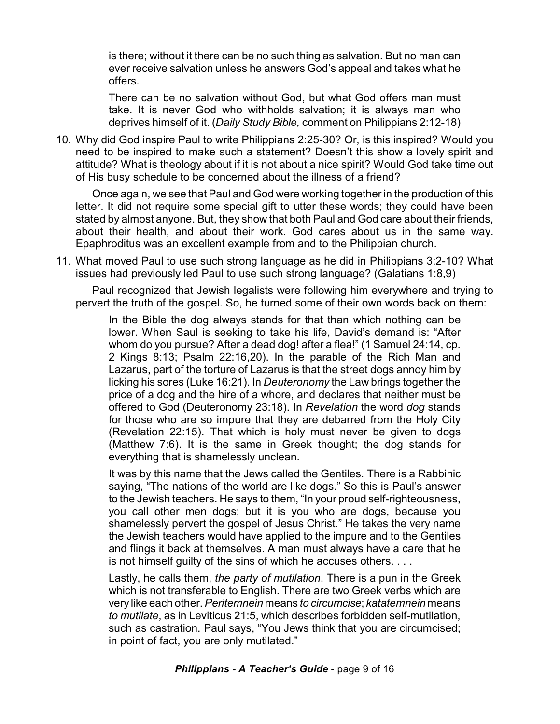is there; without it there can be no such thing as salvation. But no man can ever receive salvation unless he answers God's appeal and takes what he offers.

There can be no salvation without God, but what God offers man must take. It is never God who withholds salvation; it is always man who deprives himself of it. (*Daily Study Bible,* comment on Philippians 2:12-18)

10. Why did God inspire Paul to write Philippians 2:25-30? Or, is this inspired? Would you need to be inspired to make such a statement? Doesn't this show a lovely spirit and attitude? What is theology about if it is not about a nice spirit? Would God take time out of His busy schedule to be concerned about the illness of a friend?

Once again, we see that Paul and God were working together in the production of this letter. It did not require some special gift to utter these words; they could have been stated by almost anyone. But, they show that both Paul and God care about their friends, about their health, and about their work. God cares about us in the same way. Epaphroditus was an excellent example from and to the Philippian church.

11. What moved Paul to use such strong language as he did in Philippians 3:2-10? What issues had previously led Paul to use such strong language? (Galatians 1:8,9)

Paul recognized that Jewish legalists were following him everywhere and trying to pervert the truth of the gospel. So, he turned some of their own words back on them:

In the Bible the dog always stands for that than which nothing can be lower. When Saul is seeking to take his life, David's demand is: "After whom do you pursue? After a dead dog! after a flea!" (1 Samuel 24:14, cp. 2 Kings 8:13; Psalm 22:16,20). In the parable of the Rich Man and Lazarus, part of the torture of Lazarus is that the street dogs annoy him by licking his sores (Luke 16:21). In *Deuteronomy* the Law brings together the price of a dog and the hire of a whore, and declares that neither must be offered to God (Deuteronomy 23:18). In *Revelation* the word *dog* stands for those who are so impure that they are debarred from the Holy City (Revelation 22:15). That which is holy must never be given to dogs (Matthew 7:6). It is the same in Greek thought; the dog stands for everything that is shamelessly unclean.

It was by this name that the Jews called the Gentiles. There is a Rabbinic saying, "The nations of the world are like dogs." So this is Paul's answer to the Jewish teachers. He says to them, "In your proud self-righteousness, you call other men dogs; but it is you who are dogs, because you shamelessly pervert the gospel of Jesus Christ." He takes the very name the Jewish teachers would have applied to the impure and to the Gentiles and flings it back at themselves. A man must always have a care that he is not himself guilty of the sins of which he accuses others. . . .

Lastly, he calls them, *the party of mutilation*. There is a pun in the Greek which is not transferable to English. There are two Greek verbs which are very like each other. *Peritemnein* means *to circumcise*; *katatemnein* means *to mutilate*, as in Leviticus 21:5, which describes forbidden self-mutilation, such as castration. Paul says, "You Jews think that you are circumcised; in point of fact, you are only mutilated."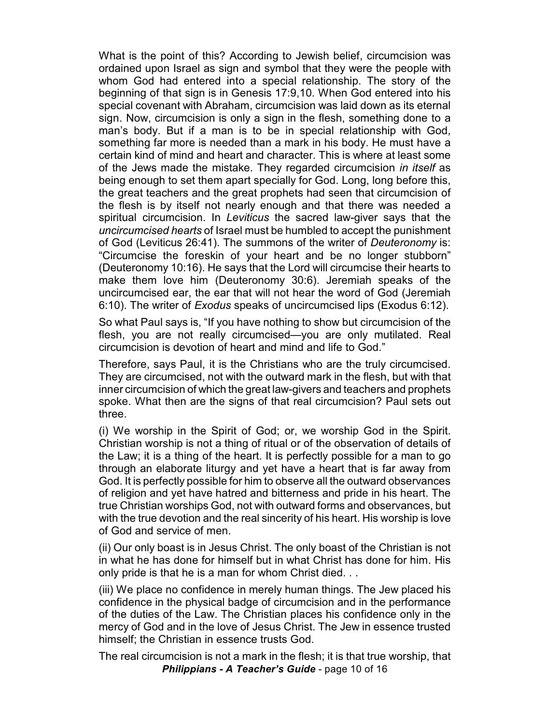What is the point of this? According to Jewish belief, circumcision was ordained upon Israel as sign and symbol that they were the people with whom God had entered into a special relationship. The story of the beginning of that sign is in Genesis 17:9,10. When God entered into his special covenant with Abraham, circumcision was laid down as its eternal sign. Now, circumcision is only a sign in the flesh, something done to a man's body. But if a man is to be in special relationship with God, something far more is needed than a mark in his body. He must have a certain kind of mind and heart and character. This is where at least some of the Jews made the mistake. They regarded circumcision *in itself* as being enough to set them apart specially for God. Long, long before this, the great teachers and the great prophets had seen that circumcision of the flesh is by itself not nearly enough and that there was needed a spiritual circumcision. In *Leviticus* the sacred law-giver says that the *uncircumcised hearts* of Israel must be humbled to accept the punishment of God (Leviticus 26:41). The summons of the writer of *Deuteronomy* is: "Circumcise the foreskin of your heart and be no longer stubborn" (Deuteronomy 10:16). He says that the Lord will circumcise their hearts to make them love him (Deuteronomy 30:6). Jeremiah speaks of the uncircumcised ear, the ear that will not hear the word of God (Jeremiah 6:10). The writer of *Exodus* speaks of uncircumcised lips (Exodus 6:12).

So what Paul says is, "If you have nothing to show but circumcision of the flesh, you are not really circumcised—you are only mutilated. Real circumcision is devotion of heart and mind and life to God."

Therefore, says Paul, it is the Christians who are the truly circumcised. They are circumcised, not with the outward mark in the flesh, but with that inner circumcision of which the great law-givers and teachers and prophets spoke. What then are the signs of that real circumcision? Paul sets out three.

(i) We worship in the Spirit of God; or, we worship God in the Spirit. Christian worship is not a thing of ritual or of the observation of details of the Law; it is a thing of the heart. It is perfectly possible for a man to go through an elaborate liturgy and yet have a heart that is far away from God. It is perfectly possible for him to observe all the outward observances of religion and yet have hatred and bitterness and pride in his heart. The true Christian worships God, not with outward forms and observances, but with the true devotion and the real sincerity of his heart. His worship is love of God and service of men.

(ii) Our only boast is in Jesus Christ. The only boast of the Christian is not in what he has done for himself but in what Christ has done for him. His only pride is that he is a man for whom Christ died. . .

(iii) We place no confidence in merely human things. The Jew placed his confidence in the physical badge of circumcision and in the performance of the duties of the Law. The Christian places his confidence only in the mercy of God and in the love of Jesus Christ. The Jew in essence trusted himself; the Christian in essence trusts God.

The real circumcision is not a mark in the flesh; it is that true worship, that *Philippians - A Teacher's Guide* - page 10 of 16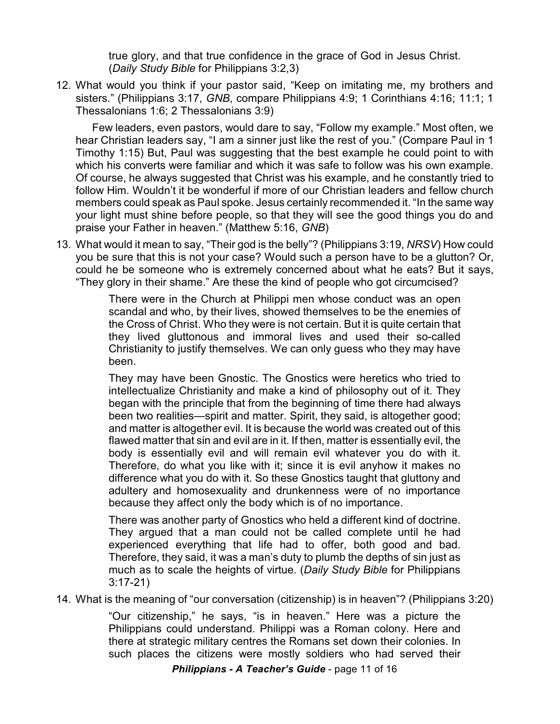true glory, and that true confidence in the grace of God in Jesus Christ. (*Daily Study Bible* for Philippians 3:2,3)

12. What would you think if your pastor said, "Keep on imitating me, my brothers and sisters." (Philippians 3:17, *GNB*, compare Philippians 4:9; 1 Corinthians 4:16; 11:1; 1 Thessalonians 1:6; 2 Thessalonians 3:9)

Few leaders, even pastors, would dare to say, "Follow my example." Most often, we hear Christian leaders say, "I am a sinner just like the rest of you." (Compare Paul in 1 Timothy 1:15) But, Paul was suggesting that the best example he could point to with which his converts were familiar and which it was safe to follow was his own example. Of course, he always suggested that Christ was his example, and he constantly tried to follow Him. Wouldn't it be wonderful if more of our Christian leaders and fellow church members could speak as Paul spoke. Jesus certainly recommended it. "In the same way your light must shine before people, so that they will see the good things you do and praise your Father in heaven." (Matthew 5:16, *GNB*)

13. What would it mean to say, "Their god is the belly"? (Philippians 3:19, *NRSV*) How could you be sure that this is not your case? Would such a person have to be a glutton? Or, could he be someone who is extremely concerned about what he eats? But it says, "They glory in their shame." Are these the kind of people who got circumcised?

> There were in the Church at Philippi men whose conduct was an open scandal and who, by their lives, showed themselves to be the enemies of the Cross of Christ. Who they were is not certain. But it is quite certain that they lived gluttonous and immoral lives and used their so-called Christianity to justify themselves. We can only guess who they may have been.

> They may have been Gnostic. The Gnostics were heretics who tried to intellectualize Christianity and make a kind of philosophy out of it. They began with the principle that from the beginning of time there had always been two realities—spirit and matter. Spirit, they said, is altogether good; and matter is altogether evil. It is because the world was created out of this flawed matter that sin and evil are in it. If then, matter is essentially evil, the body is essentially evil and will remain evil whatever you do with it. Therefore, do what you like with it; since it is evil anyhow it makes no difference what you do with it. So these Gnostics taught that gluttony and adultery and homosexuality and drunkenness were of no importance because they affect only the body which is of no importance.

> There was another party of Gnostics who held a different kind of doctrine. They argued that a man could not be called complete until he had experienced everything that life had to offer, both good and bad. Therefore, they said, it was a man's duty to plumb the depths of sin just as much as to scale the heights of virtue. (*Daily Study Bible* for Philippians 3:17-21)

14. What is the meaning of "our conversation (citizenship) is in heaven"? (Philippians 3:20)

"Our citizenship," he says, "is in heaven." Here was a picture the Philippians could understand. Philippi was a Roman colony. Here and there at strategic military centres the Romans set down their colonies. In such places the citizens were mostly soldiers who had served their

*Philippians - A Teacher's Guide* - page 11 of 16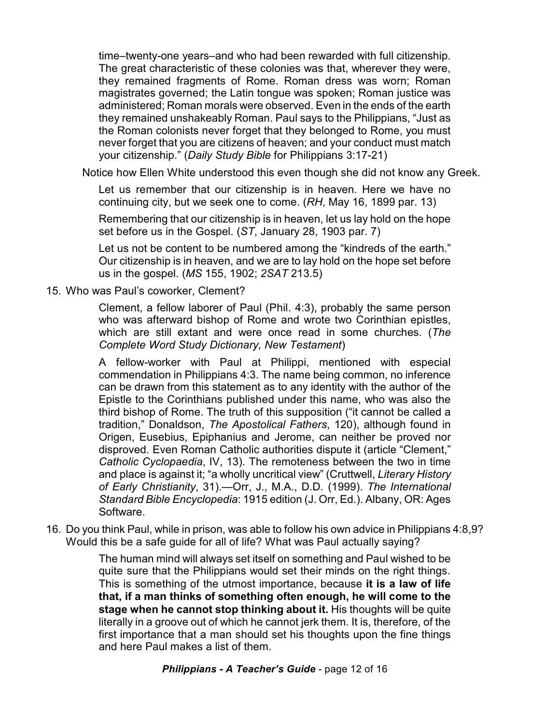time–twenty-one years–and who had been rewarded with full citizenship. The great characteristic of these colonies was that, wherever they were, they remained fragments of Rome. Roman dress was worn; Roman magistrates governed; the Latin tongue was spoken; Roman justice was administered; Roman morals were observed. Even in the ends of the earth they remained unshakeably Roman. Paul says to the Philippians, "Just as the Roman colonists never forget that they belonged to Rome, you must never forget that you are citizens of heaven; and your conduct must match your citizenship." (*Daily Study Bible* for Philippians 3:17-21)

Notice how Ellen White understood this even though she did not know any Greek.

Let us remember that our citizenship is in heaven. Here we have no continuing city, but we seek one to come. (*RH*, May 16, 1899 par. 13)

Remembering that our citizenship is in heaven, let us lay hold on the hope set before us in the Gospel. (*ST*, January 28, 1903 par. 7)

Let us not be content to be numbered among the "kindreds of the earth." Our citizenship is in heaven, and we are to lay hold on the hope set before us in the gospel. (*MS* 155, 1902; *2SAT* 213.5)

15. Who was Paul's coworker, Clement?

Clement, a fellow laborer of Paul (Phil. 4:3), probably the same person who was afterward bishop of Rome and wrote two Corinthian epistles, which are still extant and were once read in some churches. (*The Complete Word Study Dictionary, New Testament*)

A fellow-worker with Paul at Philippi, mentioned with especial commendation in Philippians 4:3. The name being common, no inference can be drawn from this statement as to any identity with the author of the Epistle to the Corinthians published under this name, who was also the third bishop of Rome. The truth of this supposition ("it cannot be called a tradition," Donaldson, *The Apostolical Fathers*, 120), although found in Origen, Eusebius, Epiphanius and Jerome, can neither be proved nor disproved. Even Roman Catholic authorities dispute it (article "Clement," *Catholic Cyclopaedia*, IV, 13). The remoteness between the two in time and place is against it; "a wholly uncritical view" (Cruttwell, *Literary History of Early Christianity*, 31).—Orr, J., M.A., D.D. (1999). *The International Standard Bible Encyclopedia*: 1915 edition (J. Orr, Ed.). Albany, OR: Ages Software.

16. Do you think Paul, while in prison, was able to follow his own advice in Philippians 4:8,9? Would this be a safe guide for all of life? What was Paul actually saying?

> The human mind will always set itself on something and Paul wished to be quite sure that the Philippians would set their minds on the right things. This is something of the utmost importance, because **it is a law of life that, if a man thinks of something often enough, he will come to the stage when he cannot stop thinking about it.** His thoughts will be quite literally in a groove out of which he cannot jerk them. It is, therefore, of the first importance that a man should set his thoughts upon the fine things and here Paul makes a list of them.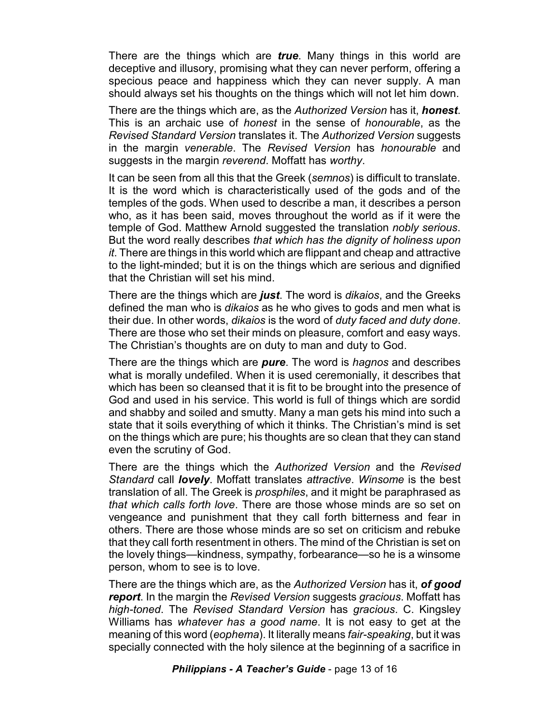There are the things which are *true*. Many things in this world are deceptive and illusory, promising what they can never perform, offering a specious peace and happiness which they can never supply. A man should always set his thoughts on the things which will not let him down.

There are the things which are, as the *Authorized Version* has it, *honest*. This is an archaic use of *honest* in the sense of *honourable*, as the *Revised Standard Version* translates it. The *Authorized Version* suggests in the margin *venerable*. The *Revised Version* has *honourable* and suggests in the margin *reverend*. Moffatt has *worthy*.

It can be seen from all this that the Greek (*semnos*) is difficult to translate. It is the word which is characteristically used of the gods and of the temples of the gods. When used to describe a man, it describes a person who, as it has been said, moves throughout the world as if it were the temple of God. Matthew Arnold suggested the translation *nobly serious*. But the word really describes *that which has the dignity of holiness upon it*. There are things in this world which are flippant and cheap and attractive to the light-minded; but it is on the things which are serious and dignified that the Christian will set his mind.

There are the things which are *just*. The word is *dikaios*, and the Greeks defined the man who is *dikaios* as he who gives to gods and men what is their due. In other words, *dikaios* is the word of *duty faced and duty done*. There are those who set their minds on pleasure, comfort and easy ways. The Christian's thoughts are on duty to man and duty to God.

There are the things which are *pure*. The word is *hagnos* and describes what is morally undefiled. When it is used ceremonially, it describes that which has been so cleansed that it is fit to be brought into the presence of God and used in his service. This world is full of things which are sordid and shabby and soiled and smutty. Many a man gets his mind into such a state that it soils everything of which it thinks. The Christian's mind is set on the things which are pure; his thoughts are so clean that they can stand even the scrutiny of God.

There are the things which the *Authorized Version* and the *Revised Standard* call *lovely*. Moffatt translates *attractive*. *Winsome* is the best translation of all. The Greek is *prosphiles*, and it might be paraphrased as *that which calls forth love*. There are those whose minds are so set on vengeance and punishment that they call forth bitterness and fear in others. There are those whose minds are so set on criticism and rebuke that they call forth resentment in others. The mind of the Christian is set on the lovely things—kindness, sympathy, forbearance—so he is a winsome person, whom to see is to love.

There are the things which are, as the *Authorized Version* has it, *of good report*. In the margin the *Revised Version* suggests *gracious*. Moffatt has *high-toned*. The *Revised Standard Version* has *gracious*. C. Kingsley Williams has *whatever has a good name*. It is not easy to get at the meaning of this word (*eophema*). It literally means *fair-speaking*, but it was specially connected with the holy silence at the beginning of a sacrifice in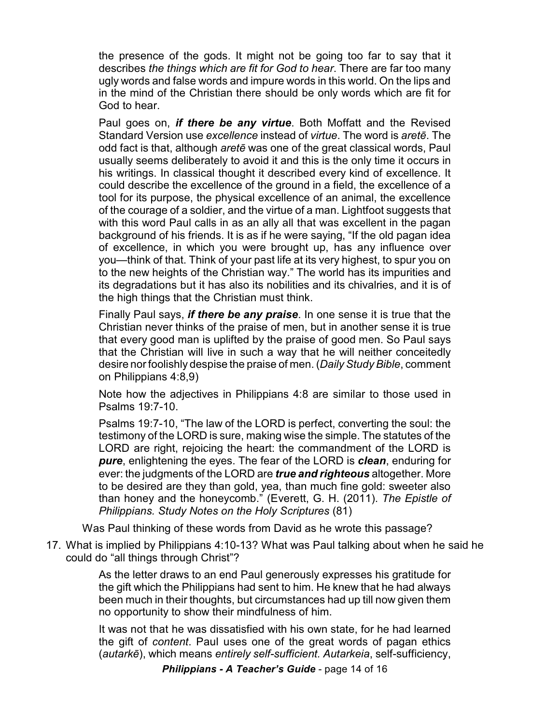the presence of the gods. It might not be going too far to say that it describes *the things which are fit for God to hear*. There are far too many ugly words and false words and impure words in this world. On the lips and in the mind of the Christian there should be only words which are fit for God to hear.

Paul goes on, *if there be any virtue*. Both Moffatt and the Revised Standard Version use *excellence* instead of *virtue*. The word is *aretç*. The odd fact is that, although *aretç* was one of the great classical words, Paul usually seems deliberately to avoid it and this is the only time it occurs in his writings. In classical thought it described every kind of excellence. It could describe the excellence of the ground in a field, the excellence of a tool for its purpose, the physical excellence of an animal, the excellence of the courage of a soldier, and the virtue of a man. Lightfoot suggests that with this word Paul calls in as an ally all that was excellent in the pagan background of his friends. It is as if he were saying, "If the old pagan idea of excellence, in which you were brought up, has any influence over you—think of that. Think of your past life at its very highest, to spur you on to the new heights of the Christian way." The world has its impurities and its degradations but it has also its nobilities and its chivalries, and it is of the high things that the Christian must think.

Finally Paul says, *if there be any praise*. In one sense it is true that the Christian never thinks of the praise of men, but in another sense it is true that every good man is uplifted by the praise of good men. So Paul says that the Christian will live in such a way that he will neither conceitedly desire nor foolishly despise the praise of men. (*Daily Study Bible*, comment on Philippians 4:8,9)

Note how the adjectives in Philippians 4:8 are similar to those used in Psalms 19:7-10.

Psalms 19:7-10, "The law of the LORD is perfect, converting the soul: the testimony of the LORD is sure, making wise the simple. The statutes of the LORD are right, rejoicing the heart: the commandment of the LORD is *pure*, enlightening the eyes. The fear of the LORD is *clean*, enduring for ever: the judgments of the LORD are *true and righteous* altogether. More to be desired are they than gold, yea, than much fine gold: sweeter also than honey and the honeycomb." (Everett, G. H. (2011). *The Epistle of Philippians. Study Notes on the Holy Scriptures* (81)

Was Paul thinking of these words from David as he wrote this passage?

17. What is implied by Philippians 4:10-13? What was Paul talking about when he said he could do "all things through Christ"?

> As the letter draws to an end Paul generously expresses his gratitude for the gift which the Philippians had sent to him. He knew that he had always been much in their thoughts, but circumstances had up till now given them no opportunity to show their mindfulness of him.

> It was not that he was dissatisfied with his own state, for he had learned the gift of *content*. Paul uses one of the great words of pagan ethics (*autarkç*), which means *entirely self-sufficient. Autarkeia*, self-sufficiency,

> > *Philippians - A Teacher's Guide* - page 14 of 16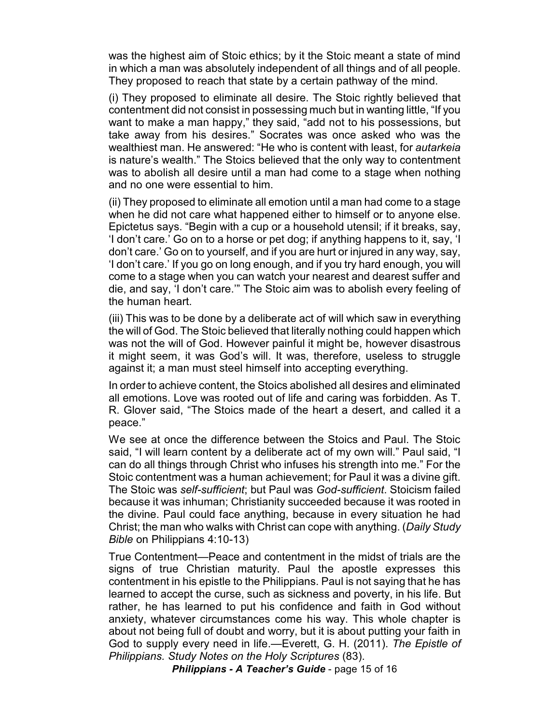was the highest aim of Stoic ethics; by it the Stoic meant a state of mind in which a man was absolutely independent of all things and of all people. They proposed to reach that state by a certain pathway of the mind.

(i) They proposed to eliminate all desire. The Stoic rightly believed that contentment did not consist in possessing much but in wanting little, "If you want to make a man happy," they said, "add not to his possessions, but take away from his desires." Socrates was once asked who was the wealthiest man. He answered: "He who is content with least, for *autarkeia* is nature's wealth." The Stoics believed that the only way to contentment was to abolish all desire until a man had come to a stage when nothing and no one were essential to him.

(ii) They proposed to eliminate all emotion until a man had come to a stage when he did not care what happened either to himself or to anyone else. Epictetus says. "Begin with a cup or a household utensil; if it breaks, say, 'I don't care.' Go on to a horse or pet dog; if anything happens to it, say, 'I don't care.' Go on to yourself, and if you are hurt or injured in any way, say, 'I don't care.' If you go on long enough, and if you try hard enough, you will come to a stage when you can watch your nearest and dearest suffer and die, and say, 'I don't care.'" The Stoic aim was to abolish every feeling of the human heart.

(iii) This was to be done by a deliberate act of will which saw in everything the will of God. The Stoic believed that literally nothing could happen which was not the will of God. However painful it might be, however disastrous it might seem, it was God's will. It was, therefore, useless to struggle against it; a man must steel himself into accepting everything.

In order to achieve content, the Stoics abolished all desires and eliminated all emotions. Love was rooted out of life and caring was forbidden. As T. R. Glover said, "The Stoics made of the heart a desert, and called it a peace."

We see at once the difference between the Stoics and Paul. The Stoic said, "I will learn content by a deliberate act of my own will." Paul said, "I can do all things through Christ who infuses his strength into me." For the Stoic contentment was a human achievement; for Paul it was a divine gift. The Stoic was *self-sufficient*; but Paul was *God-sufficient*. Stoicism failed because it was inhuman; Christianity succeeded because it was rooted in the divine. Paul could face anything, because in every situation he had Christ; the man who walks with Christ can cope with anything. (*Daily Study Bible* on Philippians 4:10-13)

True Contentment—Peace and contentment in the midst of trials are the signs of true Christian maturity. Paul the apostle expresses this contentment in his epistle to the Philippians. Paul is not saying that he has learned to accept the curse, such as sickness and poverty, in his life. But rather, he has learned to put his confidence and faith in God without anxiety, whatever circumstances come his way. This whole chapter is about not being full of doubt and worry, but it is about putting your faith in God to supply every need in life.—Everett, G. H. (2011). *The Epistle of Philippians. Study Notes on the Holy Scriptures* (83).

*Philippians - A Teacher's Guide* - page 15 of 16